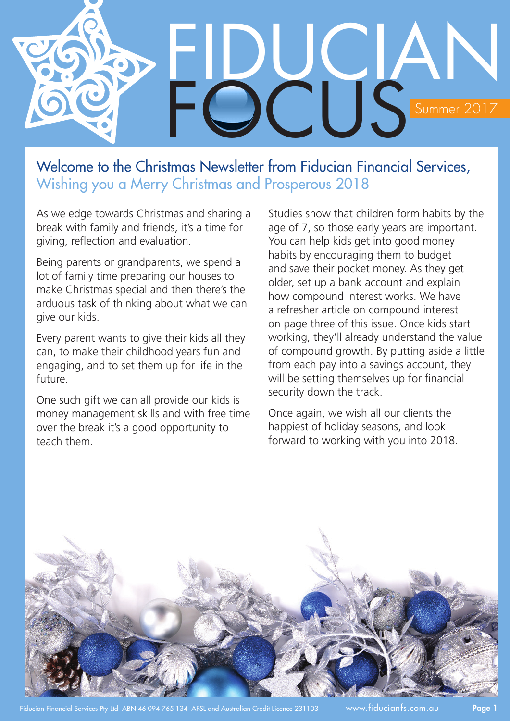

## Welcome to the Christmas Newsletter from Fiducian Financial Services, Wishing you a Merry Christmas and Prosperous 2018

As we edge towards Christmas and sharing a break with family and friends, it's a time for giving, reflection and evaluation.

Being parents or grandparents, we spend a lot of family time preparing our houses to make Christmas special and then there's the arduous task of thinking about what we can give our kids.

Every parent wants to give their kids all they can, to make their childhood years fun and engaging, and to set them up for life in the future.

One such gift we can all provide our kids is money management skills and with free time over the break it's a good opportunity to teach them.

Studies show that children form habits by the age of 7, so those early years are important. You can help kids get into good money habits by encouraging them to budget and save their pocket money. As they get older, set up a bank account and explain how compound interest works. We have a refresher article on compound interest on page three of this issue. Once kids start working, they'll already understand the value of compound growth. By putting aside a little from each pay into a savings account, they will be setting themselves up for financial security down the track.

Once again, we wish all our clients the happiest of holiday seasons, and look forward to working with you into 2018.

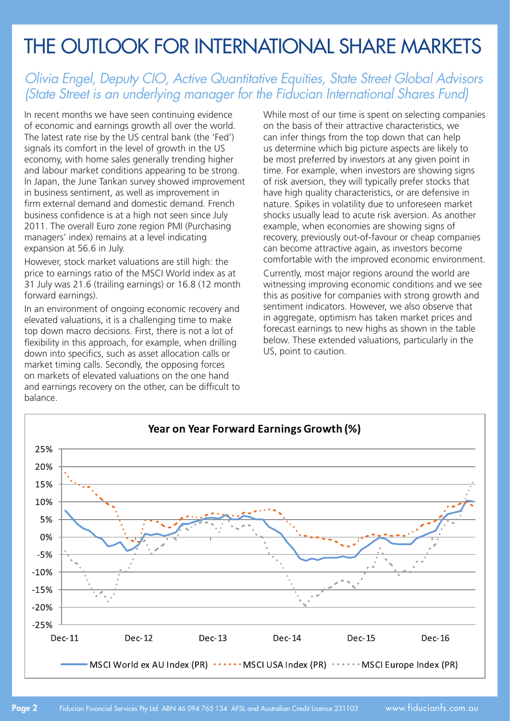## The Outlook for International Share Markets

### *Olivia Engel, Deputy CIO, Active Quantitative Equities, State Street Global Advisors (State Street is an underlying manager for the Fiducian International Shares Fund)*

In recent months we have seen continuing evidence of economic and earnings growth all over the world. The latest rate rise by the US central bank (the 'Fed') signals its comfort in the level of growth in the US economy, with home sales generally trending higher and labour market conditions appearing to be strong. In Japan, the June Tankan survey showed improvement in business sentiment, as well as improvement in firm external demand and domestic demand. French business confidence is at a high not seen since July 2011. The overall Euro zone region PMI (Purchasing managers' index) remains at a level indicating expansion at 56.6 in July.

However, stock market valuations are still high: the price to earnings ratio of the MSCI World index as at 31 July was 21.6 (trailing earnings) or 16.8 (12 month forward earnings).

In an environment of ongoing economic recovery and elevated valuations, it is a challenging time to make top down macro decisions. First, there is not a lot of flexibility in this approach, for example, when drilling down into specifics, such as asset allocation calls or market timing calls. Secondly, the opposing forces on markets of elevated valuations on the one hand and earnings recovery on the other, can be difficult to balance.

While most of our time is spent on selecting companies on the basis of their attractive characteristics, we can infer things from the top down that can help us determine which big picture aspects are likely to be most preferred by investors at any given point in time. For example, when investors are showing signs of risk aversion, they will typically prefer stocks that have high quality characteristics, or are defensive in nature. Spikes in volatility due to unforeseen market shocks usually lead to acute risk aversion. As another example, when economies are showing signs of recovery, previously out-of-favour or cheap companies can become attractive again, as investors become comfortable with the improved economic environment.

Currently, most major regions around the world are witnessing improving economic conditions and we see this as positive for companies with strong growth and sentiment indicators. However, we also observe that in aggregate, optimism has taken market prices and forecast earnings to new highs as shown in the table below. These extended valuations, particularly in the US, point to caution.

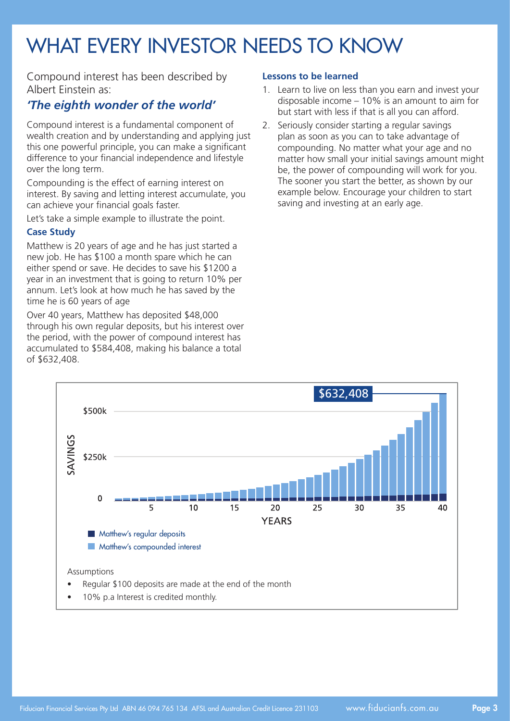# WHAT EVERY INVESTOR NEEDS TO KNOW

Compound interest has been described by Albert Einstein as:

#### *'The eighth wonder of the world'*

Compound interest is a fundamental component of wealth creation and by understanding and applying just this one powerful principle, you can make a significant difference to your financial independence and lifestyle over the long term.

Compounding is the effect of earning interest on interest. By saving and letting interest accumulate, you can achieve your financial goals faster.

Let's take a simple example to illustrate the point.

#### **Case Study**

Matthew is 20 years of age and he has just started a new job. He has \$100 a month spare which he can either spend or save. He decides to save his \$1200 a year in an investment that is going to return 10% per annum. Let's look at how much he has saved by the time he is 60 years of age

Over 40 years, Matthew has deposited \$48,000 through his own regular deposits, but his interest over the period, with the power of compound interest has accumulated to \$584,408, making his balance a total of \$632,408.

#### **Lessons to be learned**

- 1. Learn to live on less than you earn and invest your disposable income – 10% is an amount to aim for but start with less if that is all you can afford.
- 2. Seriously consider starting a regular savings plan as soon as you can to take advantage of compounding. No matter what your age and no matter how small your initial savings amount might be, the power of compounding will work for you. The sooner you start the better, as shown by our example below. Encourage your children to start saving and investing at an early age.